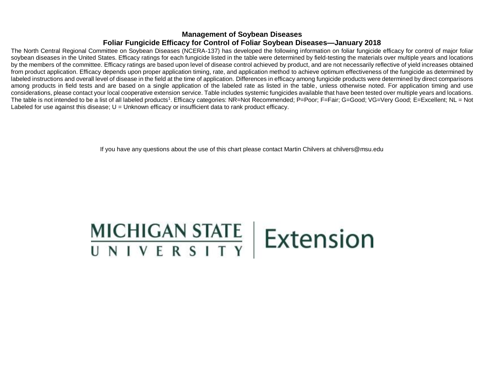## **Management of Soybean Diseases Foliar Fungicide Efficacy for Control of Foliar Soybean Diseases—January 2018**

The North Central Regional Committee on Soybean Diseases (NCERA-137) has developed the following information on foliar fungicide efficacy for control of major foliar soybean diseases in the United States. Efficacy ratings for each fungicide listed in the table were determined by field-testing the materials over multiple years and locations by the members of the committee. Efficacy ratings are based upon level of disease control achieved by product, and are not necessarily reflective of yield increases obtained from product application. Efficacy depends upon proper application timing, rate, and application method to achieve optimum effectiveness of the fungicide as determined by labeled instructions and overall level of disease in the field at the time of application. Differences in efficacy among fungicide products were determined by direct comparisons among products in field tests and are based on a single application of the labeled rate as listed in the table, unless otherwise noted. For application timing and use considerations, please contact your local cooperative extension service. Table includes systemic fungicides available that have been tested over multiple years and locations. The table is not intended to be a list of all labeled products<sup>1</sup>. Efficacy categories: NR=Not Recommended; P=Poor; F=Fair; G=Good; VG=Very Good; E=Excellent; NL = Not Labeled for use against this disease;  $U =$  Unknown efficacy or insufficient data to rank product efficacy.

If you have any questions about the use of this chart please contact Martin Chilvers at chilvers@msu.edu

## MICHIGAN STATE | Extension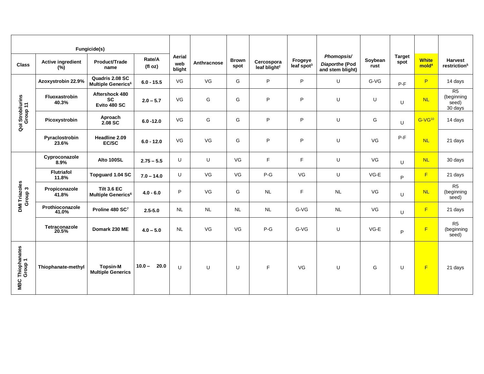| Fungicide(s)                     |                                             |                                                            |                   |                         |             |                      |                                        |                                   |                                                  |                 |                       |                                   |                                            |
|----------------------------------|---------------------------------------------|------------------------------------------------------------|-------------------|-------------------------|-------------|----------------------|----------------------------------------|-----------------------------------|--------------------------------------------------|-----------------|-----------------------|-----------------------------------|--------------------------------------------|
| <b>Class</b>                     | <b>Active ingredient</b><br>$(\frac{9}{6})$ | Product/Trade<br>name                                      | Rate/A<br>(fl oz) | Aerial<br>web<br>blight | Anthracnose | <b>Brown</b><br>spot | Cercospora<br>leaf blight <sup>2</sup> | Frogeye<br>leaf spot <sup>3</sup> | Phomopsis/<br>Diaporthe (Pod<br>and stem blight) | Soybean<br>rust | <b>Target</b><br>spot | <b>White</b><br>mold <sup>4</sup> | <b>Harvest</b><br>restriction <sup>5</sup> |
| Qol Strobilurins<br>Group 11     | Azoxystrobin 22.9%                          | Quadris 2.08 SC<br><b>Multiple Generics<sup>6</sup></b>    | $6.0 - 15.5$      | VG                      | VG          | G                    | P                                      | P                                 | U                                                | G-VG            | $P-F$                 | P                                 | 14 days                                    |
|                                  | Fluoxastrobin<br>40.3%                      | Aftershock 480<br><b>SC</b><br>Evito 480 SC                | $2.0 - 5.7$       | VG                      | G           | G                    | P                                      | P                                 | U                                                | U               | U                     | <b>NL</b>                         | R5<br>(beginning<br>seed)<br>30 days       |
|                                  | Picoxystrobin                               | Aproach<br>2.08 SC                                         | $6.0 - 12.0$      | VG                      | G           | G                    | P                                      | P                                 | U                                                | G               | U                     | G-VG <sup>10</sup>                | 14 days                                    |
|                                  | Pyraclostrobin<br>23.6%                     | Headline 2.09<br>EC/SC                                     | $6.0 - 12.0$      | VG                      | VG          | G                    | P                                      | P                                 | U                                                | VG              | $P-F$                 | <b>NL</b>                         | 21 days                                    |
| DMI Triazoles<br>Group 3         | Cyproconazole<br>8.9%                       | Alto 100SL                                                 | $2.75 - 5.5$      | U                       | U           | VG                   | F                                      | F                                 | U                                                | VG              | U                     | <b>NL</b>                         | 30 days                                    |
|                                  | <b>Flutriafol</b><br>11.8%                  | Topguard 1.04 SC                                           | $7.0 - 14.0$      | U                       | VG          | VG                   | $P-G$                                  | VG                                | U                                                | $VG-E$          | P                     | F                                 | 21 days                                    |
|                                  | Propiconazole<br>41.8%                      | <b>Tilt 3.6 EC</b><br><b>Multiple Generics<sup>6</sup></b> | $4.0 - 6.0$       | P                       | VG          | G                    | <b>NL</b>                              | F.                                | <b>NL</b>                                        | VG              | U                     | <b>NL</b>                         | R <sub>5</sub><br>(beginning<br>seed)      |
|                                  | Prothioconazole<br>41.0%                    | Proline 480 SC7                                            | $2.5 - 5.0$       | <b>NL</b>               | <b>NL</b>   | <b>NL</b>            | <b>NL</b>                              | G-VG                              | <b>NL</b>                                        | VG              | U                     | F                                 | 21 days                                    |
|                                  | Tetraconazole<br>20.5%                      | Domark 230 ME                                              | $4.0 - 5.0$       | <b>NL</b>               | VG          | VG                   | $P-G$                                  | G-VG                              | U                                                | $VG-E$          | P                     | $\mathsf F$                       | R <sub>5</sub><br>(beginning<br>seed)      |
| : Thiophanates<br>Group 1<br>MBC | Thiophanate-methyl                          | <b>Topsin-M</b><br><b>Multiple Generics</b>                | 20.0<br>$10.0 -$  | U                       | U           | U                    | $\mathsf F$                            | VG                                | $\cup$                                           | G               | U                     | F                                 | 21 days                                    |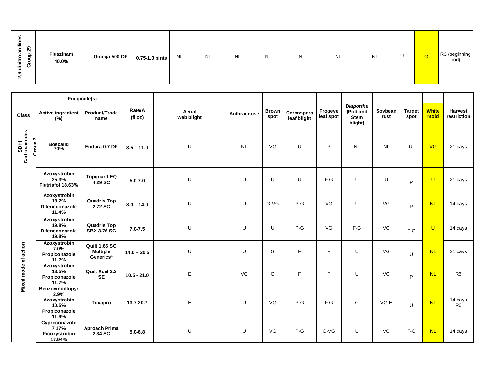|                                  |                                                                             | Fungicide(s)                                              |                  |                      |             |                      |                           |                      |                                                        |                 |                       |                      |                               |
|----------------------------------|-----------------------------------------------------------------------------|-----------------------------------------------------------|------------------|----------------------|-------------|----------------------|---------------------------|----------------------|--------------------------------------------------------|-----------------|-----------------------|----------------------|-------------------------------|
| <b>Class</b>                     | <b>Active ingredient</b><br>(%)                                             | Product/Trade<br>name                                     | Rate/A<br>(f oz) | Aerial<br>web blight | Anthracnose | <b>Brown</b><br>spot | Cercospora<br>leaf blight | Frogeye<br>leaf spot | <b>Diaporthe</b><br>(Pod and<br><b>Stem</b><br>blight) | Soybean<br>rust | <b>Target</b><br>spot | <b>White</b><br>mold | <b>Harvest</b><br>restriction |
| SDHI<br>Carboxamides<br>7 מווח T | Boscalid<br>70%                                                             | Endura 0.7 DF                                             | $3.5 - 11.0$     | U                    | <b>NL</b>   | VG                   | U                         | P                    | <b>NL</b>                                              | <b>NL</b>       | U                     | <b>VG</b>            | 21 days                       |
|                                  | Azoxystrobin<br>25.3%<br>Flutriafol 18.63%                                  | <b>Topguard EQ</b><br>4.29 SC                             | $5.0 - 7.0$      | U                    | U           | U                    | U                         | $F-G$                | U                                                      | U               | P                     | $\cup$               | 21 days                       |
|                                  | Azoxystrobin<br>18.2%<br>Difenoconazole<br>11.4%                            | <b>Quadris Top</b><br>2.72 SC                             | $8.0 - 14.0$     | U                    | U           | $G-VG$               | $P-G$                     | VG                   | U                                                      | VG              | P                     | <b>NL</b>            | 14 days                       |
|                                  | Azoxystrobin<br>19.8%<br>Difenoconazole<br>19.8%                            | <b>Quadris Top</b><br><b>SBX 3.76 SC</b>                  | $7.0 - 7.5$      | U                    | U           | U                    | $P-G$                     | VG                   | $F-G$                                                  | VG              | $F-G$                 | $\cup$               | 14 days                       |
|                                  | Azoxystrobin<br>7.0%<br>Propiconazole<br>11.7%                              | Quilt 1.66 SC<br><b>Multiple</b><br>Generics <sup>6</sup> | $14.0 - 20.5$    | U                    | U           | G                    | F                         | F                    | U                                                      | VG              | U                     | <b>NL</b>            | 21 days                       |
| <b>Mixed mode of action</b>      | Azoxystrobin<br>13.5%<br>Propiconazole<br>11.7%                             | Quilt Xcel 2.2<br><b>SE</b>                               | $10.5 - 21.0$    | Ε                    | VG          | G                    | F                         | F                    | U                                                      | VG              | P                     | <b>NL</b>            | R <sub>6</sub>                |
|                                  | Benzovindiflupyr<br>2.9%<br>Azoxystrobin<br>10.5%<br>Propiconazole<br>11.9% | <b>Trivapro</b>                                           | 13.7-20.7        | E                    | U           | VG                   | $P-G$                     | $F-G$                | G                                                      | $VG-E$          | U                     | NL                   | 14 days<br>R <sub>6</sub>     |
|                                  | Cyproconazole<br>7.17%<br>Picoxystrobin<br>17.94%                           | <b>Aproach Prima</b><br>2.34 SC                           | $5.0 - 6.8$      | U                    | U           | VG                   | $P-G$                     | G-VG                 | U                                                      | VG              | $F-G$                 | <b>NL</b>            | 14 days                       |